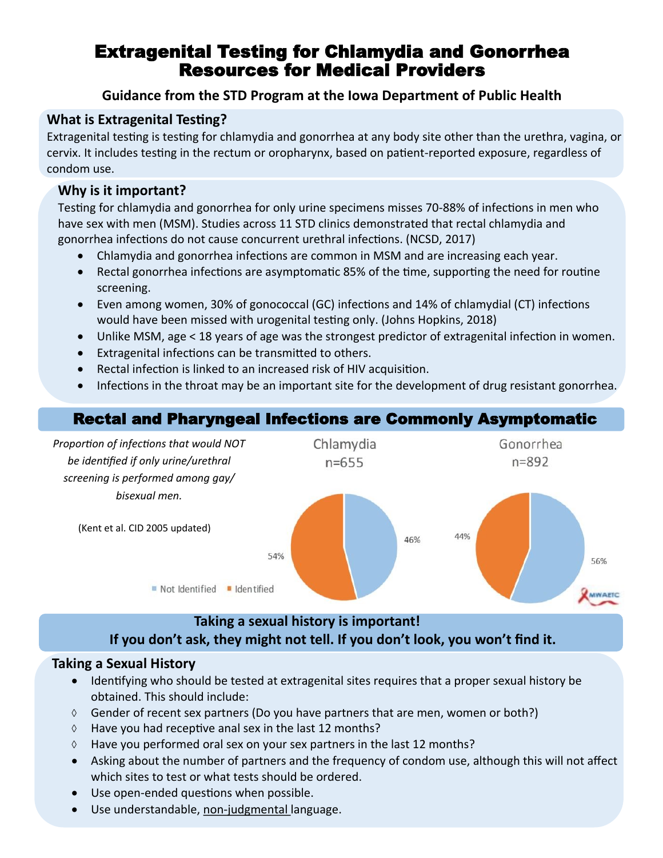# Extragenital Testing for Chlamydia and Gonorrhea Resources for Medical Providers

# **Guidance from the STD Program at the Iowa Department of Public Health**

# **What is Extragenital Testing?**

Extragenital testing is testing for chlamydia and gonorrhea at any body site other than the urethra, vagina, or cervix. It includes testing in the rectum or oropharynx, based on patient-reported exposure, regardless of condom use.

### **Why is it important?**

Testing for chlamydia and gonorrhea for only urine specimens misses 70-88% of infections in men who have sex with men (MSM). Studies across 11 STD clinics demonstrated that rectal chlamydia and gonorrhea infections do not cause concurrent urethral infections. (NCSD, 2017)

- Chlamydia and gonorrhea infections are common in MSM and are increasing each year.
- Rectal gonorrhea infections are asymptomatic 85% of the time, supporting the need for routine screening.
- Even among women, 30% of gonococcal (GC) infections and 14% of chlamydial (CT) infections would have been missed with urogenital testing only. (Johns Hopkins, 2018)
- Unlike MSM, age < 18 years of age was the strongest predictor of extragenital infection in women.
- Extragenital infections can be transmitted to others.
- Rectal infection is linked to an increased risk of HIV acquisition.
- Infections in the throat may be an important site for the development of drug resistant gonorrhea.

# Rectal and Pharyngeal Infections are Commonly Asymptomatic



# **Taking a sexual history is important! If you don't ask, they might not tell. If you don't look, you won't find it.**

#### **Taking a Sexual History**

- Identifying who should be tested at extragenital sites requires that a proper sexual history be obtained. This should include:
- $\Diamond$  Gender of recent sex partners (Do you have partners that are men, women or both?)
- $\Diamond$  Have you had receptive anal sex in the last 12 months?
- $\Diamond$  Have you performed oral sex on your sex partners in the last 12 months?
- Asking about the number of partners and the frequency of condom use, although this will not affect which sites to test or what tests should be ordered.
- Use open-ended questions when possible.
- Use understandable, non-judgmental language.